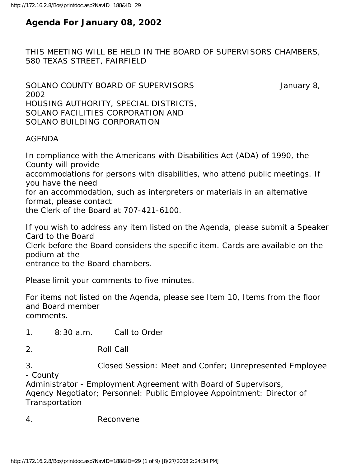## **Agenda For January 08, 2002**

THIS MEETING WILL BE HELD IN THE BOARD OF SUPERVISORS CHAMBERS, 580 TEXAS STREET, FAIRFIELD

SOLANO COUNTY BOARD OF SUPERVISORS **SOLANO** COUNTY BOARD OF SUPERVISORS 2002 HOUSING AUTHORITY, SPECIAL DISTRICTS, SOLANO FACILITIES CORPORATION AND SOLANO BUILDING CORPORATION

#### AGENDA

In compliance with the Americans with Disabilities Act (ADA) of 1990, the County will provide accommodations for persons with disabilities, who attend public meetings. If you have the need for an accommodation, such as interpreters or materials in an alternative format, please contact the Clerk of the Board at 707-421-6100.

If you wish to address any item listed on the Agenda, please submit a Speaker Card to the Board Clerk before the Board considers the specific item. Cards are available on the podium at the entrance to the Board chambers.

Please limit your comments to five minutes.

For items not listed on the Agenda, please see Item 10, Items from the floor and Board member comments.

1. 8:30 a.m. Call to Order

2. Roll Call

3. Closed Session: Meet and Confer; Unrepresented Employee - County

Administrator - Employment Agreement with Board of Supervisors, Agency Negotiator; Personnel: Public Employee Appointment: Director of **Transportation** 

4. Reconvene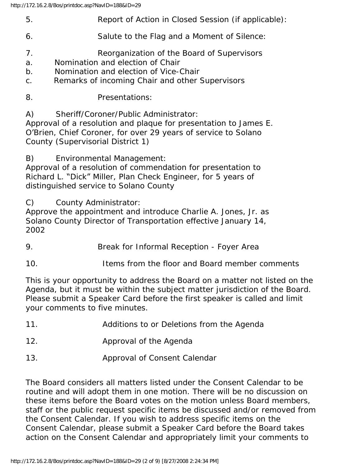- 5. Report of Action in Closed Session (if applicable):
- 6. Salute to the Flag and a Moment of Silence:
- 7. Reorganization of the Board of Supervisors
- a. Nomination and election of Chair
- b. Nomination and election of Vice-Chair
- c. Remarks of incoming Chair and other Supervisors
- 8. Presentations:

A) Sheriff/Coroner/Public Administrator:

Approval of a resolution and plaque for presentation to James E. O'Brien, Chief Coroner, for over 29 years of service to Solano County (Supervisorial District 1)

B) Environmental Management:

Approval of a resolution of commendation for presentation to Richard L. "Dick" Miller, Plan Check Engineer, for 5 years of distinguished service to Solano County

C) County Administrator:

Approve the appointment and introduce Charlie A. Jones, Jr. as Solano County Director of Transportation effective January 14, 2002

- 9. Break for Informal Reception Foyer Area
- 10. Items from the floor and Board member comments

This is your opportunity to address the Board on a matter not listed on the Agenda, but it must be within the subject matter jurisdiction of the Board. Please submit a Speaker Card before the first speaker is called and limit your comments to five minutes.

- 11. Additions to or Deletions from the Agenda
- 12. Approval of the Agenda
- 13. Approval of Consent Calendar

The Board considers all matters listed under the Consent Calendar to be routine and will adopt them in one motion. There will be no discussion on these items before the Board votes on the motion unless Board members, staff or the public request specific items be discussed and/or removed from the Consent Calendar. If you wish to address specific items on the Consent Calendar, please submit a Speaker Card before the Board takes action on the Consent Calendar and appropriately limit your comments to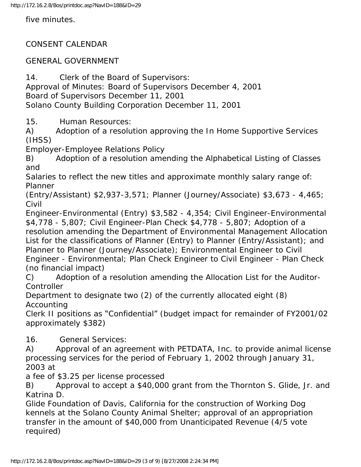five minutes.

### CONSENT CALENDAR

#### GENERAL GOVERNMENT

14. Clerk of the Board of Supervisors: Approval of Minutes: Board of Supervisors December 4, 2001 Board of Supervisors December 11, 2001 Solano County Building Corporation December 11, 2001

15. Human Resources:

A) Adoption of a resolution approving the In Home Supportive Services (IHSS)

Employer-Employee Relations Policy

B) Adoption of a resolution amending the Alphabetical Listing of Classes and

Salaries to reflect the new titles and approximate monthly salary range of: Planner

(Entry/Assistant) \$2,937-3,571; Planner (Journey/Associate) \$3,673 - 4,465; Civil

Engineer-Environmental (Entry) \$3,582 - 4,354; Civil Engineer-Environmental \$4,778 - 5,807; Civil Engineer-Plan Check \$4,778 - 5,807; Adoption of a

resolution amending the Department of Environmental Management Allocation List for the classifications of Planner (Entry) to Planner (Entry/Assistant); and Planner to Planner (Journey/Associate); Environmental Engineer to Civil

Engineer - Environmental; Plan Check Engineer to Civil Engineer - Plan Check (no financial impact)

C) Adoption of a resolution amending the Allocation List for the Auditor-**Controller** 

Department to designate two (2) of the currently allocated eight (8) Accounting

Clerk II positions as "Confidential" (budget impact for remainder of FY2001/02 approximately \$382)

16. General Services:

A) Approval of an agreement with PETDATA, Inc. to provide animal license processing services for the period of February 1, 2002 through January 31, 2003 at

a fee of \$3.25 per license processed

B) Approval to accept a \$40,000 grant from the Thornton S. Glide, Jr. and Katrina D.

Glide Foundation of Davis, California for the construction of Working Dog kennels at the Solano County Animal Shelter; approval of an appropriation transfer in the amount of \$40,000 from Unanticipated Revenue (4/5 vote required)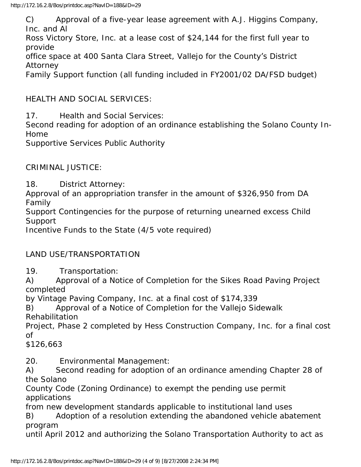C) Approval of a five-year lease agreement with A.J. Higgins Company, Inc. and Al

Ross Victory Store, Inc. at a lease cost of \$24,144 for the first full year to provide

office space at 400 Santa Clara Street, Vallejo for the County's District Attorney

Family Support function (all funding included in FY2001/02 DA/FSD budget)

HEALTH AND SOCIAL SERVICES:

17. Health and Social Services:

Second reading for adoption of an ordinance establishing the Solano County In-Home

Supportive Services Public Authority

CRIMINAL JUSTICE:

18. District Attorney:

Approval of an appropriation transfer in the amount of \$326,950 from DA Family

Support Contingencies for the purpose of returning unearned excess Child Support

Incentive Funds to the State (4/5 vote required)

LAND USE/TRANSPORTATION

19. Transportation:

A) Approval of a Notice of Completion for the Sikes Road Paving Project completed

by Vintage Paving Company, Inc. at a final cost of \$174,339

B) Approval of a Notice of Completion for the Vallejo Sidewalk Rehabilitation

Project, Phase 2 completed by Hess Construction Company, Inc. for a final cost of

\$126,663

20. Environmental Management:

A) Second reading for adoption of an ordinance amending Chapter 28 of the Solano

County Code (Zoning Ordinance) to exempt the pending use permit applications

from new development standards applicable to institutional land uses

B) Adoption of a resolution extending the abandoned vehicle abatement program

until April 2012 and authorizing the Solano Transportation Authority to act as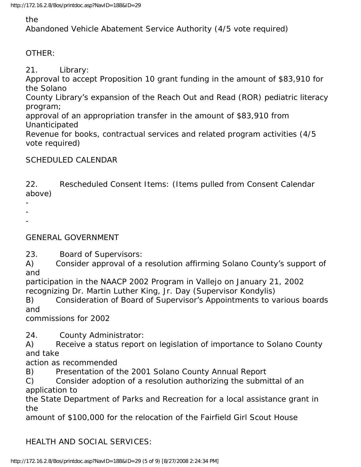### the

Abandoned Vehicle Abatement Service Authority (4/5 vote required)

### OTHER:

21. Library:

Approval to accept Proposition 10 grant funding in the amount of \$83,910 for the Solano

County Library's expansion of the Reach Out and Read (ROR) pediatric literacy program;

approval of an appropriation transfer in the amount of \$83,910 from Unanticipated

Revenue for books, contractual services and related program activities (4/5 vote required)

## SCHEDULED CALENDAR

22. Rescheduled Consent Items: (Items pulled from Consent Calendar above)

- -
- -

GENERAL GOVERNMENT

23. Board of Supervisors:

A) Consider approval of a resolution affirming Solano County's support of and

participation in the NAACP 2002 Program in Vallejo on January 21, 2002 recognizing Dr. Martin Luther King, Jr. Day (Supervisor Kondylis)

B) Consideration of Board of Supervisor's Appointments to various boards and

commissions for 2002

24. County Administrator:

A) Receive a status report on legislation of importance to Solano County and take

action as recommended

B) Presentation of the 2001 Solano County Annual Report

C) Consider adoption of a resolution authorizing the submittal of an application to

the State Department of Parks and Recreation for a local assistance grant in the

amount of \$100,000 for the relocation of the Fairfield Girl Scout House

# HEALTH AND SOCIAL SERVICES: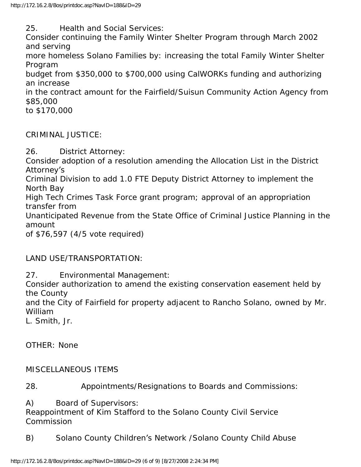25. Health and Social Services:

Consider continuing the Family Winter Shelter Program through March 2002 and serving

more homeless Solano Families by: increasing the total Family Winter Shelter Program

budget from \$350,000 to \$700,000 using CalWORKs funding and authorizing an increase

in the contract amount for the Fairfield/Suisun Community Action Agency from \$85,000

to \$170,000

CRIMINAL JUSTICE:

26. District Attorney:

Consider adoption of a resolution amending the Allocation List in the District Attorney's

Criminal Division to add 1.0 FTE Deputy District Attorney to implement the North Bay

High Tech Crimes Task Force grant program; approval of an appropriation transfer from

Unanticipated Revenue from the State Office of Criminal Justice Planning in the amount

of \$76,597 (4/5 vote required)

# LAND USE/TRANSPORTATION:

27. Environmental Management:

Consider authorization to amend the existing conservation easement held by the County

and the City of Fairfield for property adjacent to Rancho Solano, owned by Mr. William

L. Smith, Jr.

OTHER: None

### MISCELLANEOUS ITEMS

28. Appointments/Resignations to Boards and Commissions:

A) Board of Supervisors:

Reappointment of Kim Stafford to the Solano County Civil Service **Commission** 

B) Solano County Children's Network /Solano County Child Abuse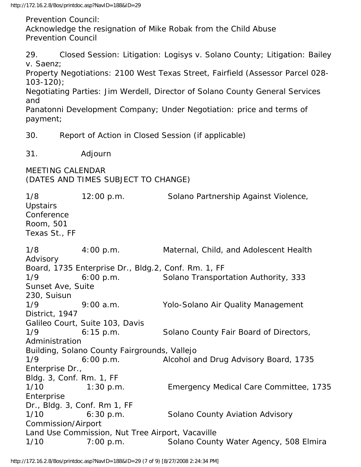http://172.16.2.8/Bos/printdoc.asp?NavID=188&ID=29

Prevention Council:

Acknowledge the resignation of Mike Robak from the Child Abuse Prevention Council

29. Closed Session: Litigation: Logisys v. Solano County; Litigation: Bailey v. Saenz;

Property Negotiations: 2100 West Texas Street, Fairfield (Assessor Parcel 028- 103-120);

Negotiating Parties: Jim Werdell, Director of Solano County General Services and

Panatonni Development Company; Under Negotiation: price and terms of payment;

30. Report of Action in Closed Session (if applicable)

31. Adjourn

MEETING CALENDAR (DATES AND TIMES SUBJECT TO CHANGE)

1/8 12:00 p.m. Solano Partnership Against Violence, **Upstairs** Conference Room, 501 Texas St., FF 1/8 4:00 p.m. Maternal, Child, and Adolescent Health Advisory Board, 1735 Enterprise Dr., Bldg.2, Conf. Rm. 1, FF 1/9 6:00 p.m. Solano Transportation Authority, 333 Sunset Ave, Suite 230, Suisun 1/9 9:00 a.m. Yolo-Solano Air Quality Management District, 1947 Galileo Court, Suite 103, Davis 1/9 6:15 p.m. Solano County Fair Board of Directors, Administration Building, Solano County Fairgrounds, Vallejo 1/9 6:00 p.m. Alcohol and Drug Advisory Board, 1735 Enterprise Dr., Bldg. 3, Conf. Rm. 1, FF 1/10 1:30 p.m. Emergency Medical Care Committee, 1735 Enterprise Dr., Bldg. 3, Conf. Rm 1, FF 1/10 6:30 p.m. Solano County Aviation Advisory Commission/Airport Land Use Commission, Nut Tree Airport, Vacaville 1/10 7:00 p.m. Solano County Water Agency, 508 Elmira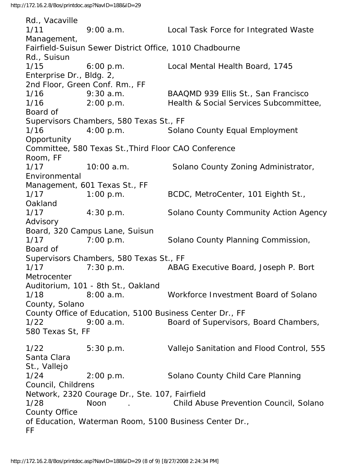Rd., Vacaville 1/11 9:00 a.m. Local Task Force for Integrated Waste Management, Fairfield-Suisun Sewer District Office, 1010 Chadbourne Rd., Suisun 1/15 6:00 p.m. Local Mental Health Board, 1745 Enterprise Dr., Bldg. 2, 2nd Floor, Green Conf. Rm., FF 1/16 9:30 a.m. BAAQMD 939 Ellis St., San Francisco 1/16 2:00 p.m. Health & Social Services Subcommittee, Board of Supervisors Chambers, 580 Texas St., FF 1/16 4:00 p.m. Solano County Equal Employment **Opportunity** Committee, 580 Texas St.,Third Floor CAO Conference Room, FF 1/17 10:00 a.m. Solano County Zoning Administrator, Environmental Management, 601 Texas St., FF 1/17 1:00 p.m. BCDC, MetroCenter, 101 Eighth St., Oakland 1/17 4:30 p.m. Solano County Community Action Agency Advisory Board, 320 Campus Lane, Suisun 1/17 7:00 p.m. Solano County Planning Commission, Board of Supervisors Chambers, 580 Texas St., FF 1/17 7:30 p.m. ABAG Executive Board, Joseph P. Bort **Metrocenter** Auditorium, 101 - 8th St., Oakland 1/18 8:00 a.m. Workforce Investment Board of Solano County, Solano County Office of Education, 5100 Business Center Dr., FF 1/22 9:00 a.m. Board of Supervisors, Board Chambers, 580 Texas St, FF 1/22 5:30 p.m. Vallejo Sanitation and Flood Control, 555 Santa Clara St., Vallejo 1/24 2:00 p.m. Solano County Child Care Planning Council, Childrens Network, 2320 Courage Dr., Ste. 107, Fairfield 1/28 Noon . Child Abuse Prevention Council, Solano County Office of Education, Waterman Room, 5100 Business Center Dr., FF